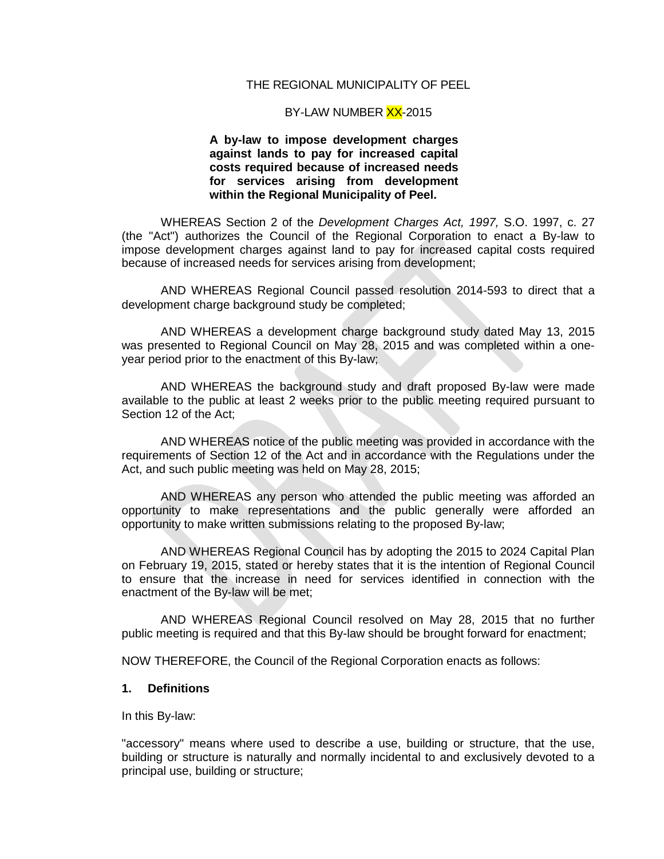#### THE REGIONAL MUNICIPALITY OF PEEL

#### BY-LAW NUMBER XX-2015

#### **A by-law to impose development charges against lands to pay for increased capital costs required because of increased needs for services arising from development within the Regional Municipality of Peel.**

WHEREAS Section 2 of the *Development Charges Act, 1997,* S.O. 1997, c. 27 (the "Act") authorizes the Council of the Regional Corporation to enact a By-law to impose development charges against land to pay for increased capital costs required because of increased needs for services arising from development;

AND WHEREAS Regional Council passed resolution 2014-593 to direct that a development charge background study be completed;

AND WHEREAS a development charge background study dated May 13, 2015 was presented to Regional Council on May 28, 2015 and was completed within a oneyear period prior to the enactment of this By-law;

AND WHEREAS the background study and draft proposed By-law were made available to the public at least 2 weeks prior to the public meeting required pursuant to Section 12 of the Act;

AND WHEREAS notice of the public meeting was provided in accordance with the requirements of Section 12 of the Act and in accordance with the Regulations under the Act, and such public meeting was held on May 28, 2015;

AND WHEREAS any person who attended the public meeting was afforded an opportunity to make representations and the public generally were afforded an opportunity to make written submissions relating to the proposed By-law;

AND WHEREAS Regional Council has by adopting the 2015 to 2024 Capital Plan on February 19, 2015, stated or hereby states that it is the intention of Regional Council to ensure that the increase in need for services identified in connection with the enactment of the By-law will be met;

AND WHEREAS Regional Council resolved on May 28, 2015 that no further public meeting is required and that this By-law should be brought forward for enactment;

NOW THEREFORE, the Council of the Regional Corporation enacts as follows:

#### **1. Definitions**

In this By-law:

"accessory" means where used to describe a use, building or structure, that the use, building or structure is naturally and normally incidental to and exclusively devoted to a principal use, building or structure;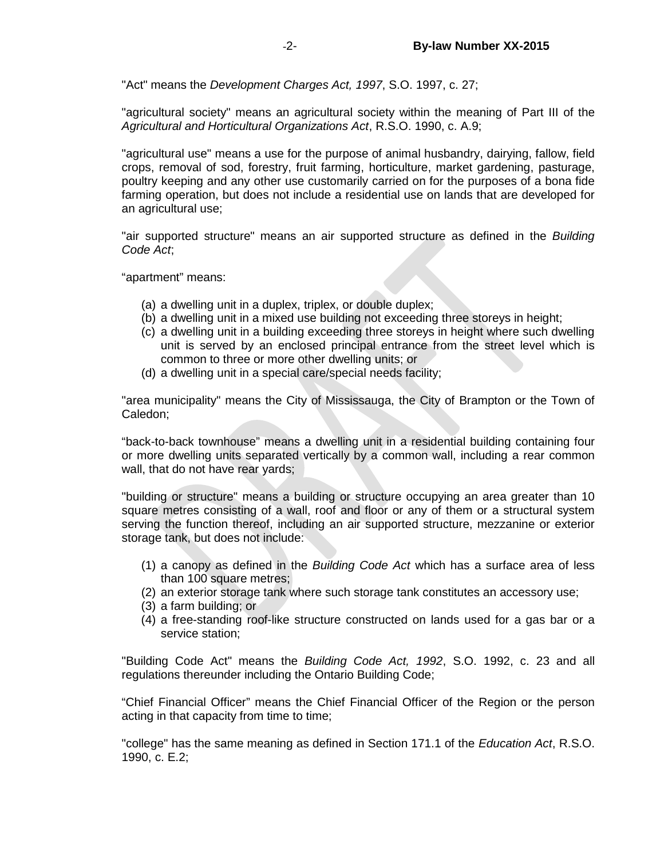"Act" means the *Development Charges Act, 1997*, S.O. 1997, c. 27;

"agricultural society" means an agricultural society within the meaning of Part III of the *Agricultural and Horticultural Organizations Act*, R.S.O. 1990, c. A.9;

"agricultural use" means a use for the purpose of animal husbandry, dairying, fallow, field crops, removal of sod, forestry, fruit farming, horticulture, market gardening, pasturage, poultry keeping and any other use customarily carried on for the purposes of a bona fide farming operation, but does not include a residential use on lands that are developed for an agricultural use;

"air supported structure" means an air supported structure as defined in the *Building Code Act*;

"apartment" means:

- (a) a dwelling unit in a duplex, triplex, or double duplex;
- (b) a dwelling unit in a mixed use building not exceeding three storeys in height;
- (c) a dwelling unit in a building exceeding three storeys in height where such dwelling unit is served by an enclosed principal entrance from the street level which is common to three or more other dwelling units; or
- (d) a dwelling unit in a special care/special needs facility;

"area municipality" means the City of Mississauga, the City of Brampton or the Town of Caledon;

"back-to-back townhouse" means a dwelling unit in a residential building containing four or more dwelling units separated vertically by a common wall, including a rear common wall, that do not have rear yards;

"building or structure" means a building or structure occupying an area greater than 10 square metres consisting of a wall, roof and floor or any of them or a structural system serving the function thereof, including an air supported structure, mezzanine or exterior storage tank, but does not include:

- (1) a canopy as defined in the *Building Code Act* which has a surface area of less than 100 square metres;
- (2) an exterior storage tank where such storage tank constitutes an accessory use;
- (3) a farm building; or
- (4) a free-standing roof-like structure constructed on lands used for a gas bar or a service station;

"Building Code Act" means the *Building Code Act, 1992*, S.O. 1992, c. 23 and all regulations thereunder including the Ontario Building Code;

"Chief Financial Officer" means the Chief Financial Officer of the Region or the person acting in that capacity from time to time;

"college" has the same meaning as defined in Section 171.1 of the *Education Act*, R.S.O. 1990, c. E.2;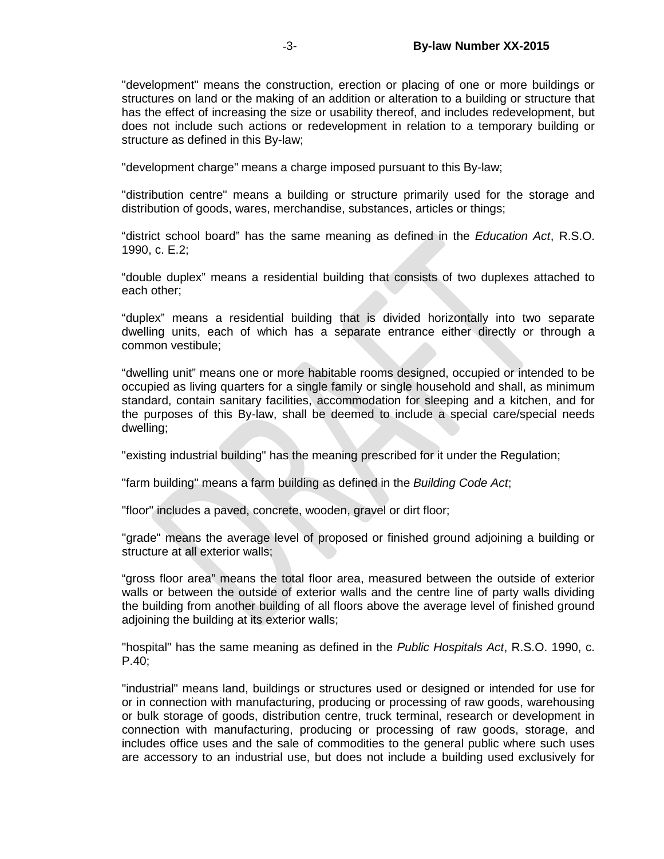"development" means the construction, erection or placing of one or more buildings or structures on land or the making of an addition or alteration to a building or structure that has the effect of increasing the size or usability thereof, and includes redevelopment, but does not include such actions or redevelopment in relation to a temporary building or structure as defined in this By-law;

"development charge" means a charge imposed pursuant to this By-law;

"distribution centre" means a building or structure primarily used for the storage and distribution of goods, wares, merchandise, substances, articles or things;

"district school board" has the same meaning as defined in the *Education Act*, R.S.O. 1990, c. E.2;

"double duplex" means a residential building that consists of two duplexes attached to each other;

"duplex" means a residential building that is divided horizontally into two separate dwelling units, each of which has a separate entrance either directly or through a common vestibule;

"dwelling unit" means one or more habitable rooms designed, occupied or intended to be occupied as living quarters for a single family or single household and shall, as minimum standard, contain sanitary facilities, accommodation for sleeping and a kitchen, and for the purposes of this By-law, shall be deemed to include a special care/special needs dwelling;

"existing industrial building" has the meaning prescribed for it under the Regulation;

"farm building" means a farm building as defined in the *Building Code Act*;

"floor" includes a paved, concrete, wooden, gravel or dirt floor;

"grade" means the average level of proposed or finished ground adjoining a building or structure at all exterior walls;

"gross floor area" means the total floor area, measured between the outside of exterior walls or between the outside of exterior walls and the centre line of party walls dividing the building from another building of all floors above the average level of finished ground adjoining the building at its exterior walls;

"hospital" has the same meaning as defined in the *Public Hospitals Act*, R.S.O. 1990, c. P.40;

"industrial" means land, buildings or structures used or designed or intended for use for or in connection with manufacturing, producing or processing of raw goods, warehousing or bulk storage of goods, distribution centre, truck terminal, research or development in connection with manufacturing, producing or processing of raw goods, storage, and includes office uses and the sale of commodities to the general public where such uses are accessory to an industrial use, but does not include a building used exclusively for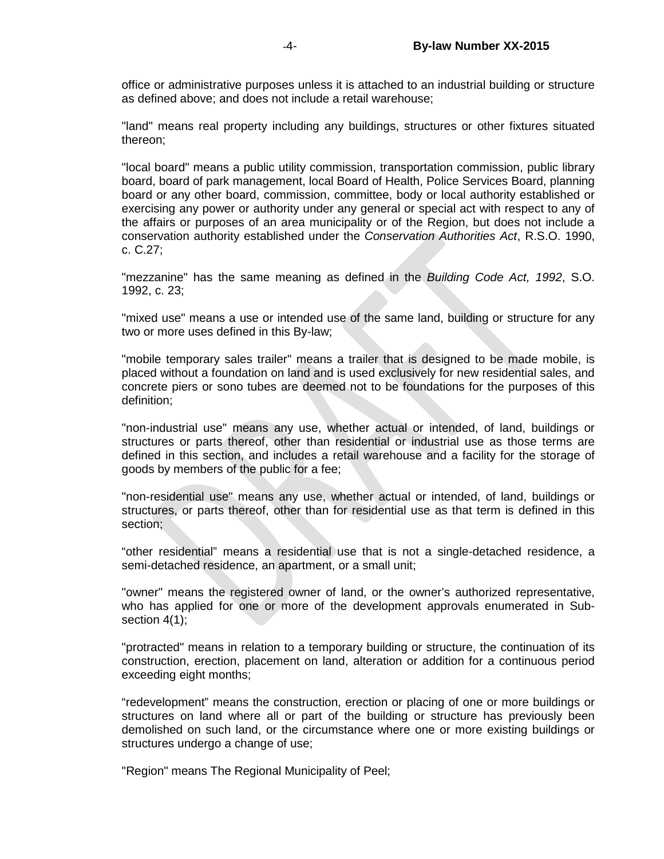office or administrative purposes unless it is attached to an industrial building or structure as defined above; and does not include a retail warehouse;

"land" means real property including any buildings, structures or other fixtures situated thereon;

"local board" means a public utility commission, transportation commission, public library board, board of park management, local Board of Health, Police Services Board, planning board or any other board, commission, committee, body or local authority established or exercising any power or authority under any general or special act with respect to any of the affairs or purposes of an area municipality or of the Region, but does not include a conservation authority established under the *Conservation Authorities Act*, R.S.O. 1990, c. C.27;

"mezzanine" has the same meaning as defined in the *Building Code Act, 1992*, S.O. 1992, c. 23;

"mixed use" means a use or intended use of the same land, building or structure for any two or more uses defined in this By-law;

"mobile temporary sales trailer" means a trailer that is designed to be made mobile, is placed without a foundation on land and is used exclusively for new residential sales, and concrete piers or sono tubes are deemed not to be foundations for the purposes of this definition;

"non-industrial use" means any use, whether actual or intended, of land, buildings or structures or parts thereof, other than residential or industrial use as those terms are defined in this section, and includes a retail warehouse and a facility for the storage of goods by members of the public for a fee;

"non-residential use" means any use, whether actual or intended, of land, buildings or structures, or parts thereof, other than for residential use as that term is defined in this section;

"other residential" means a residential use that is not a single-detached residence, a semi-detached residence, an apartment, or a small unit;

"owner" means the registered owner of land, or the owner's authorized representative, who has applied for one or more of the development approvals enumerated in Subsection 4(1);

"protracted" means in relation to a temporary building or structure, the continuation of its construction, erection, placement on land, alteration or addition for a continuous period exceeding eight months;

"redevelopment" means the construction, erection or placing of one or more buildings or structures on land where all or part of the building or structure has previously been demolished on such land, or the circumstance where one or more existing buildings or structures undergo a change of use;

"Region" means The Regional Municipality of Peel;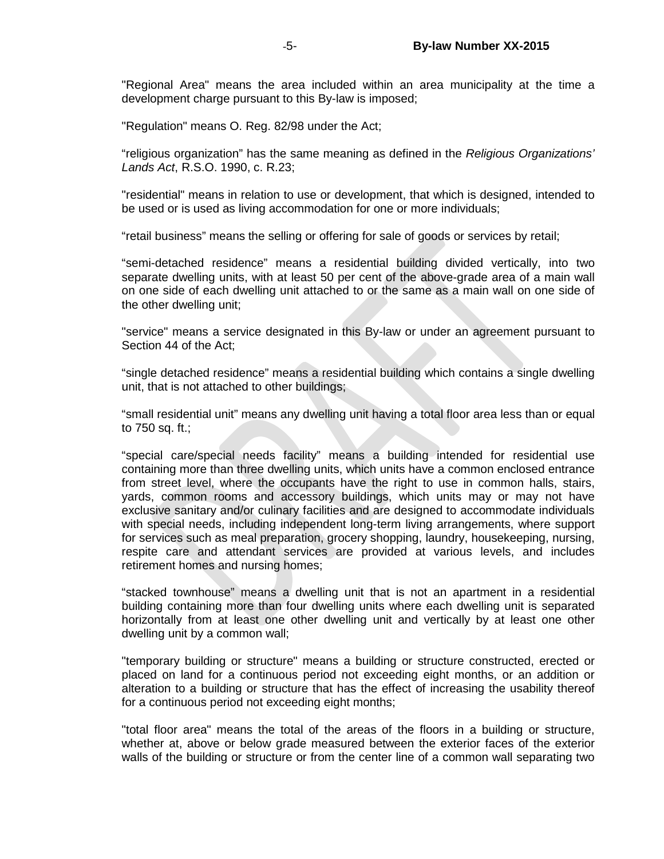"Regional Area" means the area included within an area municipality at the time a development charge pursuant to this By-law is imposed;

"Regulation" means O. Reg. 82/98 under the Act;

"religious organization" has the same meaning as defined in the *Religious Organizations' Lands Act*, R.S.O. 1990, c. R.23;

"residential" means in relation to use or development, that which is designed, intended to be used or is used as living accommodation for one or more individuals;

"retail business" means the selling or offering for sale of goods or services by retail;

"semi-detached residence" means a residential building divided vertically, into two separate dwelling units, with at least 50 per cent of the above-grade area of a main wall on one side of each dwelling unit attached to or the same as a main wall on one side of the other dwelling unit;

"service" means a service designated in this By-law or under an agreement pursuant to Section 44 of the Act;

"single detached residence" means a residential building which contains a single dwelling unit, that is not attached to other buildings;

"small residential unit" means any dwelling unit having a total floor area less than or equal to 750 sq. ft.;

"special care/special needs facility" means a building intended for residential use containing more than three dwelling units, which units have a common enclosed entrance from street level, where the occupants have the right to use in common halls, stairs, yards, common rooms and accessory buildings, which units may or may not have exclusive sanitary and/or culinary facilities and are designed to accommodate individuals with special needs, including independent long-term living arrangements, where support for services such as meal preparation, grocery shopping, laundry, housekeeping, nursing, respite care and attendant services are provided at various levels, and includes retirement homes and nursing homes;

"stacked townhouse" means a dwelling unit that is not an apartment in a residential building containing more than four dwelling units where each dwelling unit is separated horizontally from at least one other dwelling unit and vertically by at least one other dwelling unit by a common wall;

"temporary building or structure" means a building or structure constructed, erected or placed on land for a continuous period not exceeding eight months, or an addition or alteration to a building or structure that has the effect of increasing the usability thereof for a continuous period not exceeding eight months;

"total floor area" means the total of the areas of the floors in a building or structure, whether at, above or below grade measured between the exterior faces of the exterior walls of the building or structure or from the center line of a common wall separating two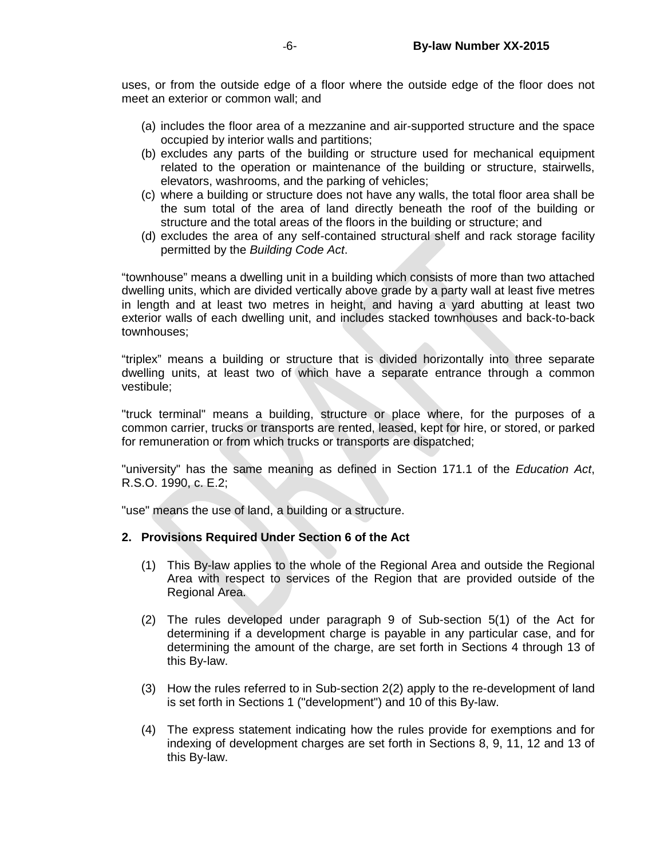uses, or from the outside edge of a floor where the outside edge of the floor does not meet an exterior or common wall; and

- (a) includes the floor area of a mezzanine and air-supported structure and the space occupied by interior walls and partitions;
- (b) excludes any parts of the building or structure used for mechanical equipment related to the operation or maintenance of the building or structure, stairwells, elevators, washrooms, and the parking of vehicles;
- (c) where a building or structure does not have any walls, the total floor area shall be the sum total of the area of land directly beneath the roof of the building or structure and the total areas of the floors in the building or structure; and
- (d) excludes the area of any self-contained structural shelf and rack storage facility permitted by the *Building Code Act*.

"townhouse" means a dwelling unit in a building which consists of more than two attached dwelling units, which are divided vertically above grade by a party wall at least five metres in length and at least two metres in height, and having a yard abutting at least two exterior walls of each dwelling unit, and includes stacked townhouses and back-to-back townhouses;

"triplex" means a building or structure that is divided horizontally into three separate dwelling units, at least two of which have a separate entrance through a common vestibule;

"truck terminal" means a building, structure or place where, for the purposes of a common carrier, trucks or transports are rented, leased, kept for hire, or stored, or parked for remuneration or from which trucks or transports are dispatched;

"university" has the same meaning as defined in Section 171.1 of the *Education Act*, R.S.O. 1990, c. E.2;

"use" means the use of land, a building or a structure.

# **2. Provisions Required Under Section 6 of the Act**

- (1) This By-law applies to the whole of the Regional Area and outside the Regional Area with respect to services of the Region that are provided outside of the Regional Area.
- (2) The rules developed under paragraph 9 of Sub-section 5(1) of the Act for determining if a development charge is payable in any particular case, and for determining the amount of the charge, are set forth in Sections 4 through 13 of this By-law.
- (3) How the rules referred to in Sub-section 2(2) apply to the re-development of land is set forth in Sections 1 ("development") and 10 of this By-law.
- (4) The express statement indicating how the rules provide for exemptions and for indexing of development charges are set forth in Sections 8, 9, 11, 12 and 13 of this By-law.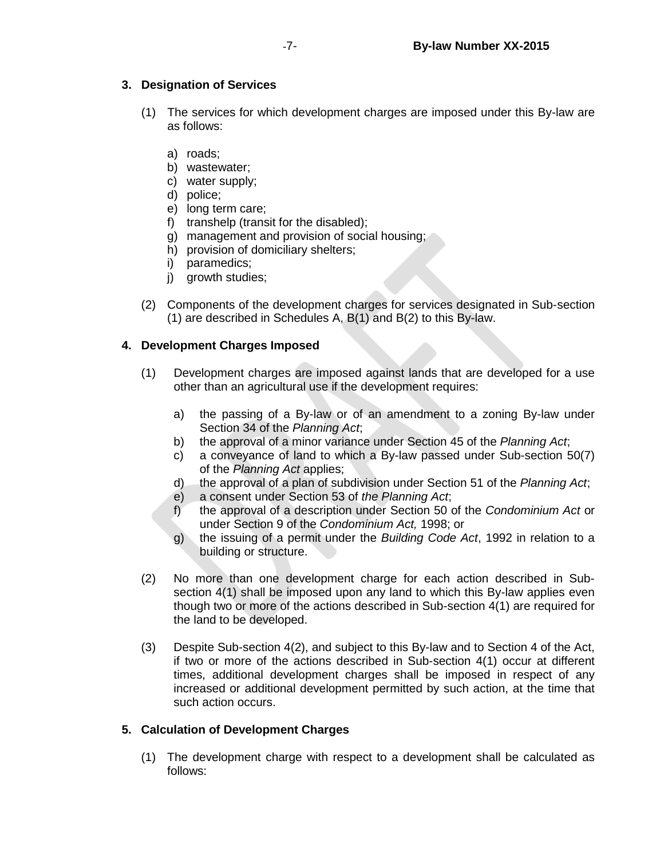# **3. Designation of Services**

- (1) The services for which development charges are imposed under this By-law are as follows:
	- a) roads;
	- b) wastewater;
	- c) water supply;
	- d) police;
	- e) long term care;
	- f) transhelp (transit for the disabled);
	- g) management and provision of social housing;
	- h) provision of domiciliary shelters;
	- i) paramedics;
	- i) growth studies;
- (2) Components of the development charges for services designated in Sub-section (1) are described in Schedules A, B(1) and B(2) to this By-law.

# **4. Development Charges Imposed**

- (1) Development charges are imposed against lands that are developed for a use other than an agricultural use if the development requires:
	- a) the passing of a By-law or of an amendment to a zoning By-law under Section 34 of the *Planning Act*;
	- b) the approval of a minor variance under Section 45 of the *Planning Act*;
	- c) a conveyance of land to which a By-law passed under Sub-section 50(7) of the *Planning Act* applies;
	- d) the approval of a plan of subdivision under Section 51 of the *Planning Act*;
	- e) a consent under Section 53 of *the Planning Act*;
	- f) the approval of a description under Section 50 of the *Condominium Act* or under Section 9 of the *Condominium Act,* 1998; or
	- g) the issuing of a permit under the *Building Code Act*, 1992 in relation to a building or structure.
- (2) No more than one development charge for each action described in Subsection 4(1) shall be imposed upon any land to which this By-law applies even though two or more of the actions described in Sub-section 4(1) are required for the land to be developed.
- (3) Despite Sub-section 4(2), and subject to this By-law and to Section 4 of the Act, if two or more of the actions described in Sub-section 4(1) occur at different times, additional development charges shall be imposed in respect of any increased or additional development permitted by such action, at the time that such action occurs.

# **5. Calculation of Development Charges**

(1) The development charge with respect to a development shall be calculated as follows: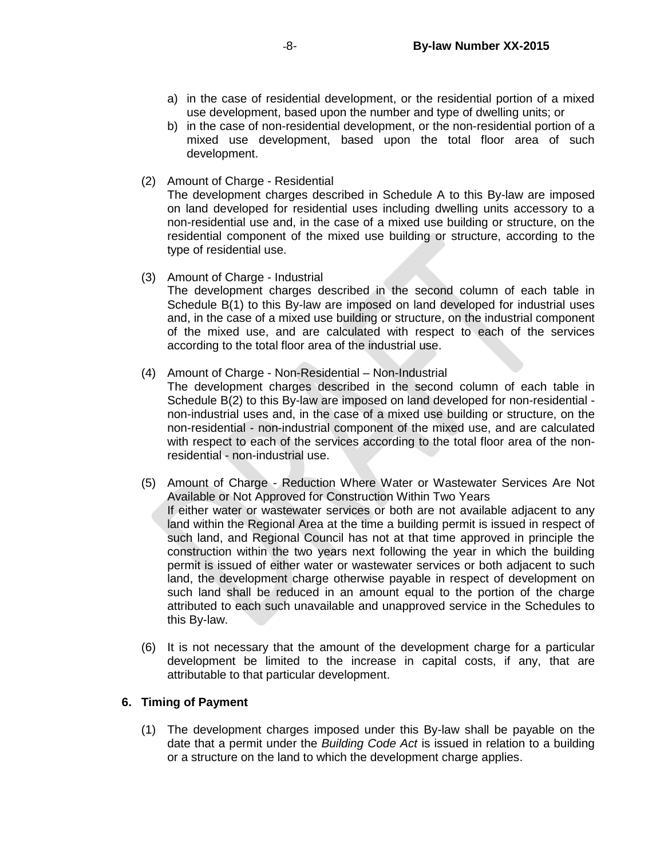- a) in the case of residential development, or the residential portion of a mixed use development, based upon the number and type of dwelling units; or
- b) in the case of non-residential development, or the non-residential portion of a mixed use development, based upon the total floor area of such development.
- (2) Amount of Charge Residential

The development charges described in Schedule A to this By-law are imposed on land developed for residential uses including dwelling units accessory to a non-residential use and, in the case of a mixed use building or structure, on the residential component of the mixed use building or structure, according to the type of residential use.

(3) Amount of Charge - Industrial

The development charges described in the second column of each table in Schedule B(1) to this By-law are imposed on land developed for industrial uses and, in the case of a mixed use building or structure, on the industrial component of the mixed use, and are calculated with respect to each of the services according to the total floor area of the industrial use.

(4) Amount of Charge - Non-Residential – Non-Industrial

The development charges described in the second column of each table in Schedule B(2) to this By-law are imposed on land developed for non-residential non-industrial uses and, in the case of a mixed use building or structure, on the non-residential - non-industrial component of the mixed use, and are calculated with respect to each of the services according to the total floor area of the nonresidential - non-industrial use.

- (5) Amount of Charge Reduction Where Water or Wastewater Services Are Not Available or Not Approved for Construction Within Two Years If either water or wastewater services or both are not available adjacent to any land within the Regional Area at the time a building permit is issued in respect of such land, and Regional Council has not at that time approved in principle the construction within the two years next following the year in which the building permit is issued of either water or wastewater services or both adjacent to such land, the development charge otherwise payable in respect of development on such land shall be reduced in an amount equal to the portion of the charge attributed to each such unavailable and unapproved service in the Schedules to this By-law.
- (6) It is not necessary that the amount of the development charge for a particular development be limited to the increase in capital costs, if any, that are attributable to that particular development.

# **6. Timing of Payment**

(1) The development charges imposed under this By-law shall be payable on the date that a permit under the *Building Code Act* is issued in relation to a building or a structure on the land to which the development charge applies.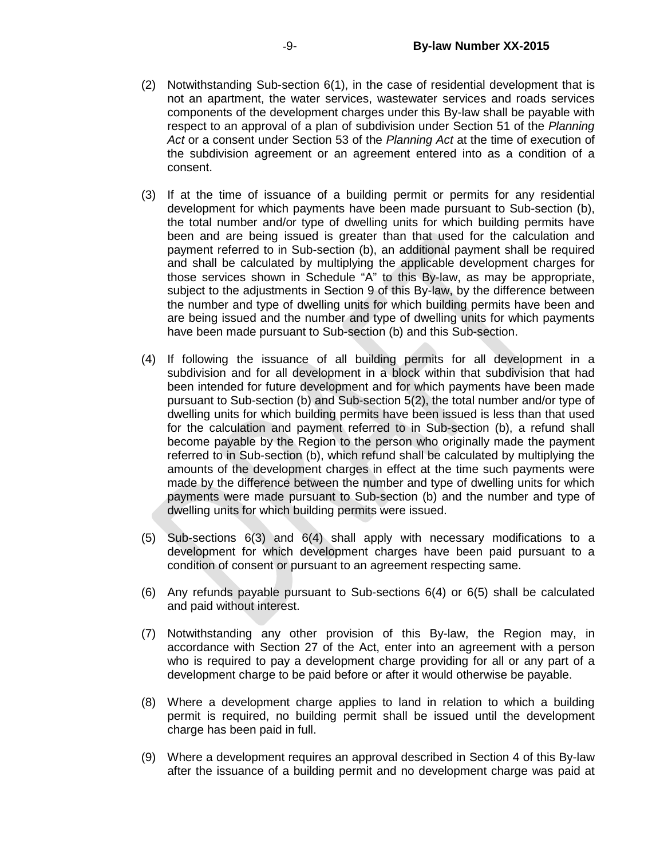- (2) Notwithstanding Sub-section 6(1), in the case of residential development that is not an apartment, the water services, wastewater services and roads services components of the development charges under this By-law shall be payable with respect to an approval of a plan of subdivision under Section 51 of the *Planning Act* or a consent under Section 53 of the *Planning Act* at the time of execution of the subdivision agreement or an agreement entered into as a condition of a consent.
- (3) If at the time of issuance of a building permit or permits for any residential development for which payments have been made pursuant to Sub-section (b), the total number and/or type of dwelling units for which building permits have been and are being issued is greater than that used for the calculation and payment referred to in Sub-section (b), an additional payment shall be required and shall be calculated by multiplying the applicable development charges for those services shown in Schedule "A" to this By-law, as may be appropriate, subject to the adjustments in Section 9 of this By-law, by the difference between the number and type of dwelling units for which building permits have been and are being issued and the number and type of dwelling units for which payments have been made pursuant to Sub-section (b) and this Sub-section.
- (4) If following the issuance of all building permits for all development in a subdivision and for all development in a block within that subdivision that had been intended for future development and for which payments have been made pursuant to Sub-section (b) and Sub-section 5(2), the total number and/or type of dwelling units for which building permits have been issued is less than that used for the calculation and payment referred to in Sub-section (b), a refund shall become payable by the Region to the person who originally made the payment referred to in Sub-section (b), which refund shall be calculated by multiplying the amounts of the development charges in effect at the time such payments were made by the difference between the number and type of dwelling units for which payments were made pursuant to Sub-section (b) and the number and type of dwelling units for which building permits were issued.
- (5) Sub-sections 6(3) and 6(4) shall apply with necessary modifications to a development for which development charges have been paid pursuant to a condition of consent or pursuant to an agreement respecting same.
- (6) Any refunds payable pursuant to Sub-sections 6(4) or 6(5) shall be calculated and paid without interest.
- (7) Notwithstanding any other provision of this By-law, the Region may, in accordance with Section 27 of the Act, enter into an agreement with a person who is required to pay a development charge providing for all or any part of a development charge to be paid before or after it would otherwise be payable.
- (8) Where a development charge applies to land in relation to which a building permit is required, no building permit shall be issued until the development charge has been paid in full.
- (9) Where a development requires an approval described in Section 4 of this By-law after the issuance of a building permit and no development charge was paid at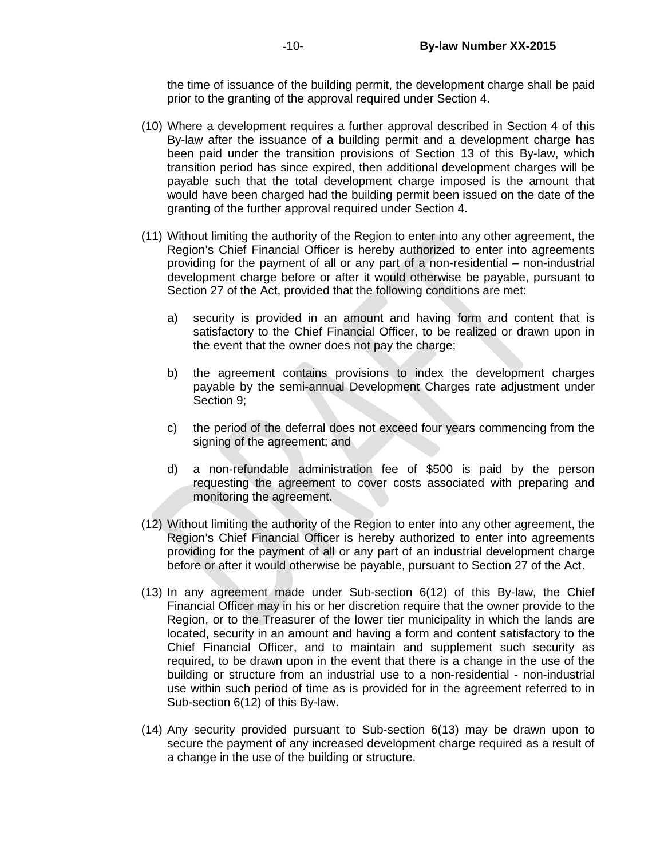the time of issuance of the building permit, the development charge shall be paid prior to the granting of the approval required under Section 4.

- (10) Where a development requires a further approval described in Section 4 of this By-law after the issuance of a building permit and a development charge has been paid under the transition provisions of Section 13 of this By-law, which transition period has since expired, then additional development charges will be payable such that the total development charge imposed is the amount that would have been charged had the building permit been issued on the date of the granting of the further approval required under Section 4.
- (11) Without limiting the authority of the Region to enter into any other agreement, the Region's Chief Financial Officer is hereby authorized to enter into agreements providing for the payment of all or any part of a non-residential – non-industrial development charge before or after it would otherwise be payable, pursuant to Section 27 of the Act, provided that the following conditions are met:
	- a) security is provided in an amount and having form and content that is satisfactory to the Chief Financial Officer, to be realized or drawn upon in the event that the owner does not pay the charge;
	- b) the agreement contains provisions to index the development charges payable by the semi-annual Development Charges rate adjustment under Section 9;
	- c) the period of the deferral does not exceed four years commencing from the signing of the agreement; and
	- d) a non-refundable administration fee of \$500 is paid by the person requesting the agreement to cover costs associated with preparing and monitoring the agreement.
- (12) Without limiting the authority of the Region to enter into any other agreement, the Region's Chief Financial Officer is hereby authorized to enter into agreements providing for the payment of all or any part of an industrial development charge before or after it would otherwise be payable, pursuant to Section 27 of the Act.
- (13) In any agreement made under Sub-section 6(12) of this By-law, the Chief Financial Officer may in his or her discretion require that the owner provide to the Region, or to the Treasurer of the lower tier municipality in which the lands are located, security in an amount and having a form and content satisfactory to the Chief Financial Officer, and to maintain and supplement such security as required, to be drawn upon in the event that there is a change in the use of the building or structure from an industrial use to a non-residential - non-industrial use within such period of time as is provided for in the agreement referred to in Sub-section 6(12) of this By-law.
- (14) Any security provided pursuant to Sub-section 6(13) may be drawn upon to secure the payment of any increased development charge required as a result of a change in the use of the building or structure.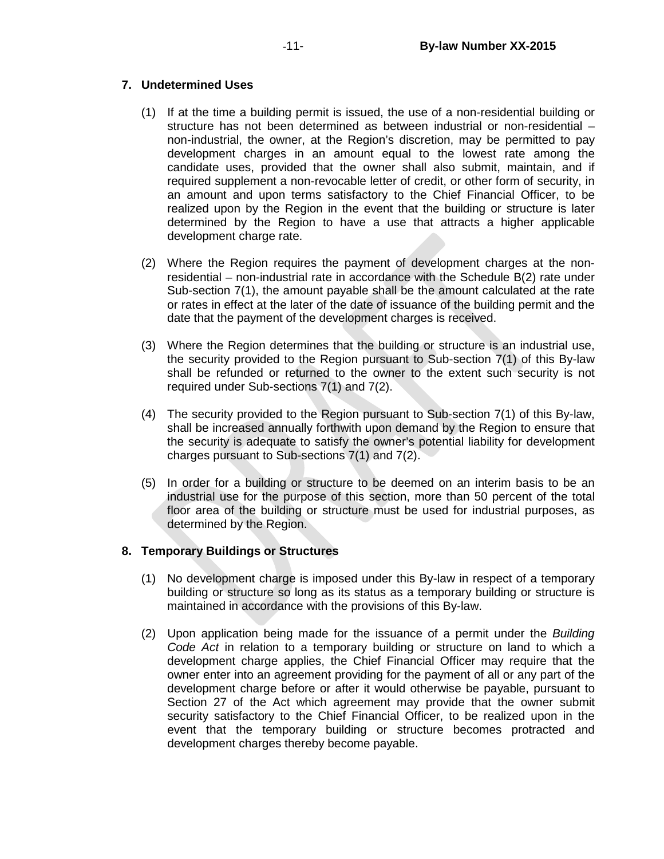# **7. Undetermined Uses**

- (1) If at the time a building permit is issued, the use of a non-residential building or structure has not been determined as between industrial or non-residential – non-industrial, the owner, at the Region's discretion, may be permitted to pay development charges in an amount equal to the lowest rate among the candidate uses, provided that the owner shall also submit, maintain, and if required supplement a non-revocable letter of credit, or other form of security, in an amount and upon terms satisfactory to the Chief Financial Officer, to be realized upon by the Region in the event that the building or structure is later determined by the Region to have a use that attracts a higher applicable development charge rate.
- (2) Where the Region requires the payment of development charges at the nonresidential – non-industrial rate in accordance with the Schedule B(2) rate under Sub-section 7(1), the amount payable shall be the amount calculated at the rate or rates in effect at the later of the date of issuance of the building permit and the date that the payment of the development charges is received.
- (3) Where the Region determines that the building or structure is an industrial use, the security provided to the Region pursuant to Sub-section 7(1) of this By-law shall be refunded or returned to the owner to the extent such security is not required under Sub-sections 7(1) and 7(2).
- (4) The security provided to the Region pursuant to Sub-section 7(1) of this By-law, shall be increased annually forthwith upon demand by the Region to ensure that the security is adequate to satisfy the owner's potential liability for development charges pursuant to Sub-sections 7(1) and 7(2).
- (5) In order for a building or structure to be deemed on an interim basis to be an industrial use for the purpose of this section, more than 50 percent of the total floor area of the building or structure must be used for industrial purposes, as determined by the Region.

# **8. Temporary Buildings or Structures**

- (1) No development charge is imposed under this By-law in respect of a temporary building or structure so long as its status as a temporary building or structure is maintained in accordance with the provisions of this By-law.
- (2) Upon application being made for the issuance of a permit under the *Building Code Act* in relation to a temporary building or structure on land to which a development charge applies, the Chief Financial Officer may require that the owner enter into an agreement providing for the payment of all or any part of the development charge before or after it would otherwise be payable, pursuant to Section 27 of the Act which agreement may provide that the owner submit security satisfactory to the Chief Financial Officer, to be realized upon in the event that the temporary building or structure becomes protracted and development charges thereby become payable.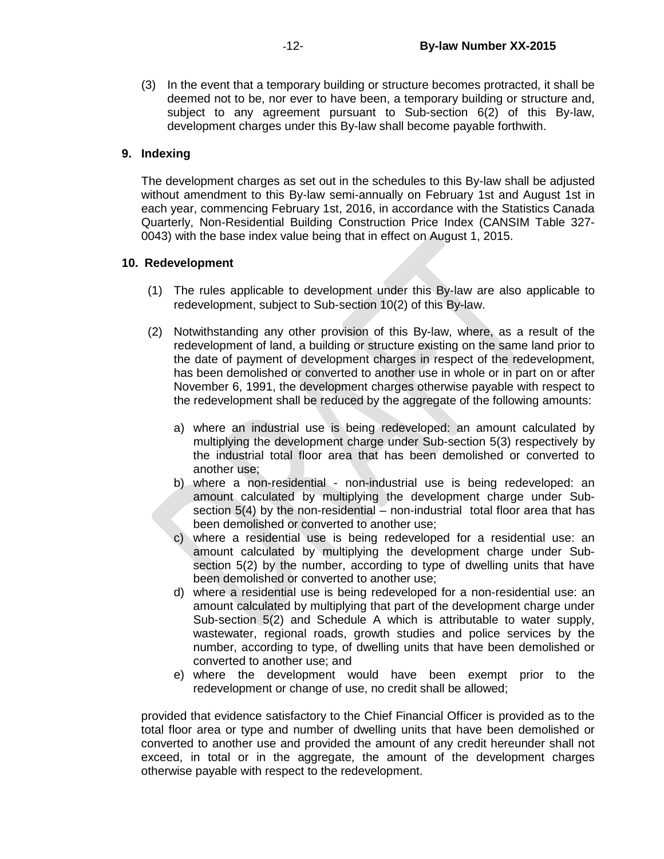(3) In the event that a temporary building or structure becomes protracted, it shall be deemed not to be, nor ever to have been, a temporary building or structure and, subject to any agreement pursuant to Sub-section 6(2) of this By-law, development charges under this By-law shall become payable forthwith.

#### **9. Indexing**

The development charges as set out in the schedules to this By-law shall be adjusted without amendment to this By-law semi-annually on February 1st and August 1st in each year, commencing February 1st, 2016, in accordance with the Statistics Canada Quarterly, Non-Residential Building Construction Price Index (CANSIM Table 327- 0043) with the base index value being that in effect on August 1, 2015.

## **10. Redevelopment**

- (1) The rules applicable to development under this By-law are also applicable to redevelopment, subject to Sub-section 10(2) of this By-law.
- (2) Notwithstanding any other provision of this By-law, where, as a result of the redevelopment of land, a building or structure existing on the same land prior to the date of payment of development charges in respect of the redevelopment, has been demolished or converted to another use in whole or in part on or after November 6, 1991, the development charges otherwise payable with respect to the redevelopment shall be reduced by the aggregate of the following amounts:
	- a) where an industrial use is being redeveloped: an amount calculated by multiplying the development charge under Sub-section 5(3) respectively by the industrial total floor area that has been demolished or converted to another use;
	- b) where a non-residential non-industrial use is being redeveloped: an amount calculated by multiplying the development charge under Subsection 5(4) by the non-residential – non-industrial total floor area that has been demolished or converted to another use;
	- c) where a residential use is being redeveloped for a residential use: an amount calculated by multiplying the development charge under Subsection 5(2) by the number, according to type of dwelling units that have been demolished or converted to another use;
	- d) where a residential use is being redeveloped for a non-residential use: an amount calculated by multiplying that part of the development charge under Sub-section 5(2) and Schedule A which is attributable to water supply, wastewater, regional roads, growth studies and police services by the number, according to type, of dwelling units that have been demolished or converted to another use; and
	- e) where the development would have been exempt prior to the redevelopment or change of use, no credit shall be allowed;

provided that evidence satisfactory to the Chief Financial Officer is provided as to the total floor area or type and number of dwelling units that have been demolished or converted to another use and provided the amount of any credit hereunder shall not exceed, in total or in the aggregate, the amount of the development charges otherwise payable with respect to the redevelopment.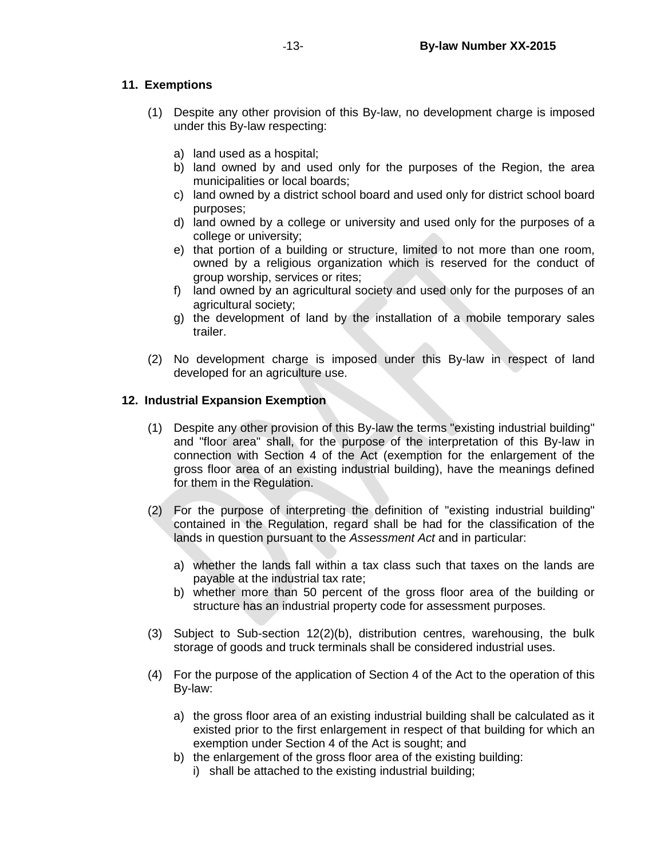# **11. Exemptions**

- (1) Despite any other provision of this By-law, no development charge is imposed under this By-law respecting:
	- a) land used as a hospital;
	- b) land owned by and used only for the purposes of the Region, the area municipalities or local boards;
	- c) land owned by a district school board and used only for district school board purposes;
	- d) land owned by a college or university and used only for the purposes of a college or university;
	- e) that portion of a building or structure, limited to not more than one room, owned by a religious organization which is reserved for the conduct of group worship, services or rites;
	- f) land owned by an agricultural society and used only for the purposes of an agricultural society;
	- g) the development of land by the installation of a mobile temporary sales trailer.
- (2) No development charge is imposed under this By-law in respect of land developed for an agriculture use.

## **12. Industrial Expansion Exemption**

- (1) Despite any other provision of this By-law the terms "existing industrial building" and "floor area" shall, for the purpose of the interpretation of this By-law in connection with Section 4 of the Act (exemption for the enlargement of the gross floor area of an existing industrial building), have the meanings defined for them in the Regulation.
- (2) For the purpose of interpreting the definition of "existing industrial building" contained in the Regulation, regard shall be had for the classification of the lands in question pursuant to the *Assessment Act* and in particular:
	- a) whether the lands fall within a tax class such that taxes on the lands are payable at the industrial tax rate;
	- b) whether more than 50 percent of the gross floor area of the building or structure has an industrial property code for assessment purposes.
- (3) Subject to Sub-section 12(2)(b), distribution centres, warehousing, the bulk storage of goods and truck terminals shall be considered industrial uses.
- (4) For the purpose of the application of Section 4 of the Act to the operation of this By-law:
	- a) the gross floor area of an existing industrial building shall be calculated as it existed prior to the first enlargement in respect of that building for which an exemption under Section 4 of the Act is sought; and
	- b) the enlargement of the gross floor area of the existing building:
		- i) shall be attached to the existing industrial building;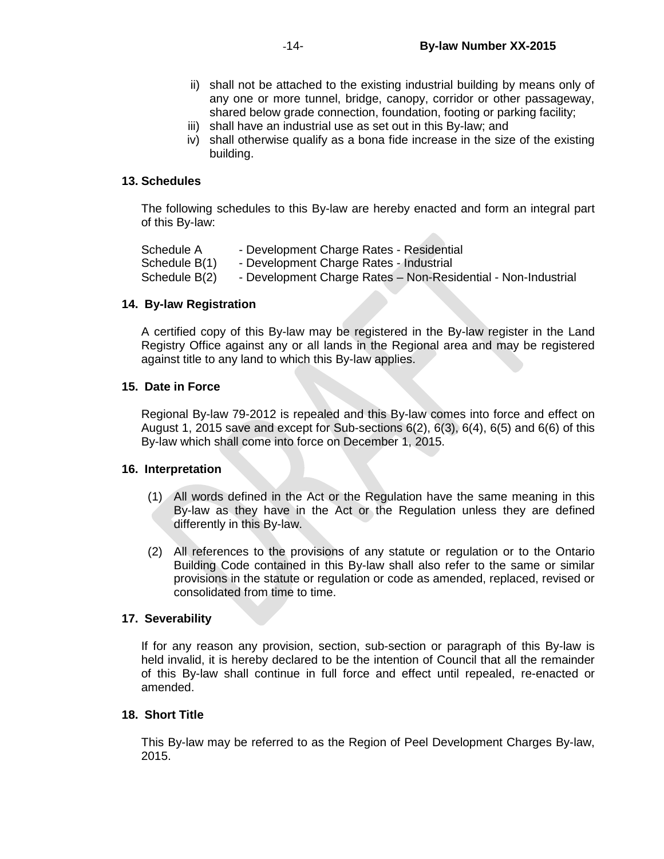- ii) shall not be attached to the existing industrial building by means only of any one or more tunnel, bridge, canopy, corridor or other passageway, shared below grade connection, foundation, footing or parking facility;
- iii) shall have an industrial use as set out in this By-law; and
- iv) shall otherwise qualify as a bona fide increase in the size of the existing building.

 $\mathcal{L}$  .

#### **13. Schedules**

The following schedules to this By-law are hereby enacted and form an integral part of this By-law:

| Schedule A    | - Development Charge Rates - Residential                      |
|---------------|---------------------------------------------------------------|
| Schedule B(1) | - Development Charge Rates - Industrial                       |
| Schedule B(2) | - Development Charge Rates – Non-Residential - Non-Industrial |

## **14. By-law Registration**

A certified copy of this By-law may be registered in the By-law register in the Land Registry Office against any or all lands in the Regional area and may be registered against title to any land to which this By-law applies.

## **15. Date in Force**

Regional By-law 79-2012 is repealed and this By-law comes into force and effect on August 1, 2015 save and except for Sub-sections  $6(2)$ ,  $6(3)$ ,  $6(4)$ ,  $6(5)$  and  $6(6)$  of this By-law which shall come into force on December 1, 2015.

#### **16. Interpretation**

- (1) All words defined in the Act or the Regulation have the same meaning in this By-law as they have in the Act or the Regulation unless they are defined differently in this By-law.
- (2) All references to the provisions of any statute or regulation or to the Ontario Building Code contained in this By-law shall also refer to the same or similar provisions in the statute or regulation or code as amended, replaced, revised or consolidated from time to time.

#### **17. Severability**

If for any reason any provision, section, sub-section or paragraph of this By-law is held invalid, it is hereby declared to be the intention of Council that all the remainder of this By-law shall continue in full force and effect until repealed, re-enacted or amended.

#### **18. Short Title**

This By-law may be referred to as the Region of Peel Development Charges By-law, 2015.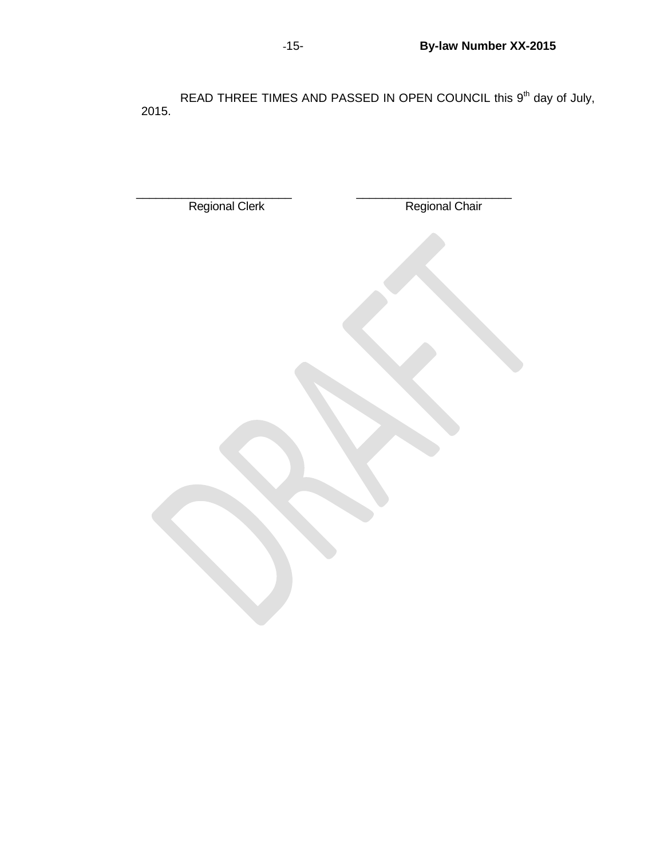READ THREE TIMES AND PASSED IN OPEN COUNCIL this 9<sup>th</sup> day of July, 2015.

| Regional Clerk | Regional Chair |
|----------------|----------------|
|                |                |
|                |                |
|                |                |
|                |                |
|                |                |
|                |                |
|                |                |
|                |                |
|                |                |
|                |                |
|                |                |
|                |                |
|                |                |
|                |                |
|                |                |
|                |                |
|                |                |
|                |                |
|                |                |
|                |                |
|                |                |
|                |                |
|                |                |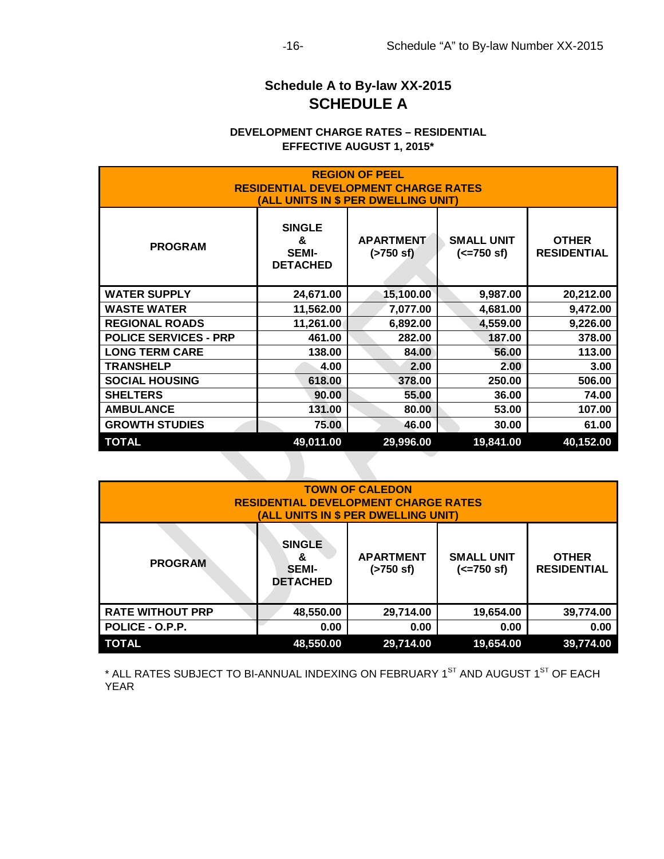# **Schedule A to By-law XX-2015 SCHEDULE A**

# **DEVELOPMENT CHARGE RATES – RESIDENTIAL EFFECTIVE AUGUST 1, 2015\***

| <b>REGION OF PEEL</b><br><b>RESIDENTIAL DEVELOPMENT CHARGE RATES</b><br>(ALL UNITS IN \$ PER DWELLING UNIT) |                                                       |                                  |                                           |                                    |
|-------------------------------------------------------------------------------------------------------------|-------------------------------------------------------|----------------------------------|-------------------------------------------|------------------------------------|
| <b>PROGRAM</b>                                                                                              | <b>SINGLE</b><br>&<br><b>SEMI-</b><br><b>DETACHED</b> | <b>APARTMENT</b><br>$($ >750 sf) | <b>SMALL UNIT</b><br>$(<=750 \text{ sf})$ | <b>OTHER</b><br><b>RESIDENTIAL</b> |
| <b>WATER SUPPLY</b>                                                                                         | 24,671.00                                             | 15,100.00                        | 9,987.00                                  | 20,212.00                          |
| <b>WASTE WATER</b>                                                                                          | 11,562.00                                             | 7,077.00                         | 4,681.00                                  | 9,472.00                           |
| <b>REGIONAL ROADS</b>                                                                                       | 11,261.00                                             | 6,892.00                         | 4,559.00                                  | 9,226.00                           |
| <b>POLICE SERVICES - PRP</b>                                                                                | 461.00                                                | 282.00                           | 187.00                                    | 378.00                             |
| <b>LONG TERM CARE</b>                                                                                       | 138.00                                                | 84.00                            | 56.00                                     | 113.00                             |
| <b>TRANSHELP</b>                                                                                            | 4.00                                                  | 2.00                             | 2.00                                      | 3.00                               |
| <b>SOCIAL HOUSING</b>                                                                                       | 618.00                                                | 378.00                           | 250.00                                    | 506.00                             |
| <b>SHELTERS</b>                                                                                             | 90.00                                                 | 55.00                            | 36.00                                     | 74.00                              |
| <b>AMBULANCE</b>                                                                                            | 131.00                                                | 80.00                            | 53.00                                     | 107.00                             |
| <b>GROWTH STUDIES</b>                                                                                       | 75.00                                                 | 46.00                            | 30.00                                     | 61.00                              |
| <b>TOTAL</b>                                                                                                | 49,011.00                                             | 29,996.00                        | 19,841.00                                 | 40,152.00                          |

| <b>TOWN OF CALEDON</b><br><b>RESIDENTIAL DEVELOPMENT CHARGE RATES</b><br>(ALL UNITS IN \$ PER DWELLING UNIT) |                                                       |                                  |                                           |                                    |
|--------------------------------------------------------------------------------------------------------------|-------------------------------------------------------|----------------------------------|-------------------------------------------|------------------------------------|
| <b>PROGRAM</b>                                                                                               | <b>SINGLE</b><br>ጼ<br><b>SEMI-</b><br><b>DETACHED</b> | <b>APARTMENT</b><br>$($ >750 sf) | <b>SMALL UNIT</b><br>$(<=750 \text{ sf})$ | <b>OTHER</b><br><b>RESIDENTIAL</b> |
| <b>RATE WITHOUT PRP</b>                                                                                      | 48,550.00                                             | 29,714.00                        | 19,654.00                                 | 39,774.00                          |
| POLICE - O.P.P.                                                                                              | 0.00                                                  | 0.00                             | 0.00                                      | 0.00                               |
| <b>TOTAL</b>                                                                                                 | 48,550.00                                             | 29,714.00                        | 19,654.00                                 | 39,774.00                          |

 $*$  ALL RATES SUBJECT TO BI-ANNUAL INDEXING ON FEBRUARY 1 $^{\text{Si}}$  AND AUGUST 1 $^{\text{Si}}$  OF EACH YEAR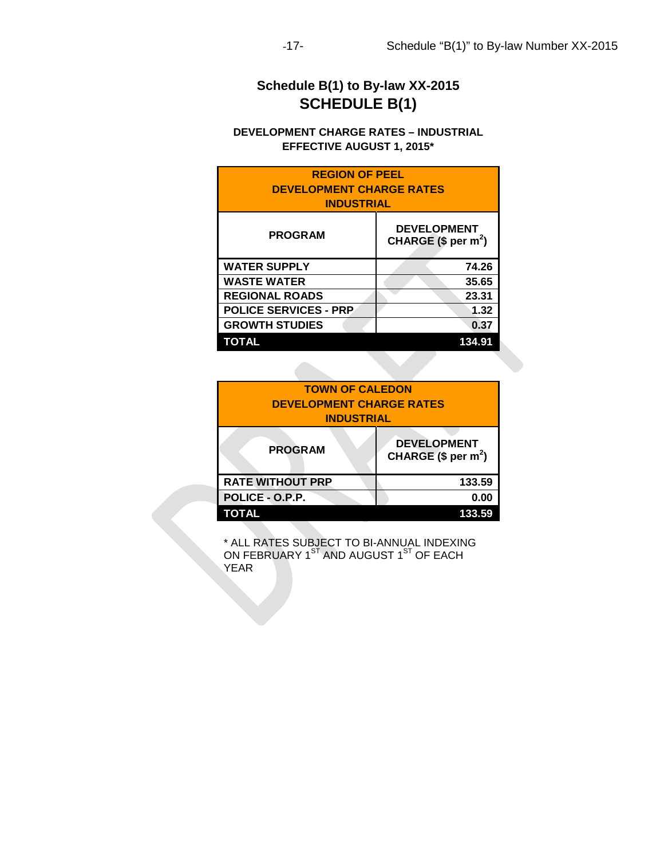# **Schedule B(1) to By-law XX-2015 SCHEDULE B(1)**

# **DEVELOPMENT CHARGE RATES – INDUSTRIAL EFFECTIVE AUGUST 1, 2015\***

| <b>REGION OF PEEL</b><br><b>DEVELOPMENT CHARGE RATES</b><br><b>INDUSTRIAL</b> |                                           |  |
|-------------------------------------------------------------------------------|-------------------------------------------|--|
| <b>PROGRAM</b>                                                                | <b>DEVELOPMENT</b><br>CHARGE $($ per m2)$ |  |
| <b>WATER SUPPLY</b>                                                           | 74.26                                     |  |
| <b>WASTE WATER</b>                                                            | 35.65                                     |  |
| <b>REGIONAL ROADS</b>                                                         | 23.31                                     |  |
| <b>POLICE SERVICES - PRP</b>                                                  | 1.32                                      |  |
| <b>GROWTH STUDIES</b>                                                         | 0.37                                      |  |
| TOTAL<br>134                                                                  |                                           |  |

| <b>TOWN OF CALEDON</b>          |                                           |  |
|---------------------------------|-------------------------------------------|--|
| <b>DEVELOPMENT CHARGE RATES</b> |                                           |  |
| <b>INDUSTRIAL</b>               |                                           |  |
| <b>PROGRAM</b>                  | <b>DEVELOPMENT</b><br>CHARGE $($ per m2)$ |  |
| <b>RATE WITHOUT PRP</b>         | 133.59                                    |  |
| POLICE - O.P.P.                 | 0.00                                      |  |
| TOTAL                           | 33.59                                     |  |

\* ALL RATES SUBJECT TO BI-ANNUAL INDEXING ON FEBRUARY 1 $^{\rm ST}$  AND AUGUST 1 $^{\rm ST}$  OF EACH **YEAR**